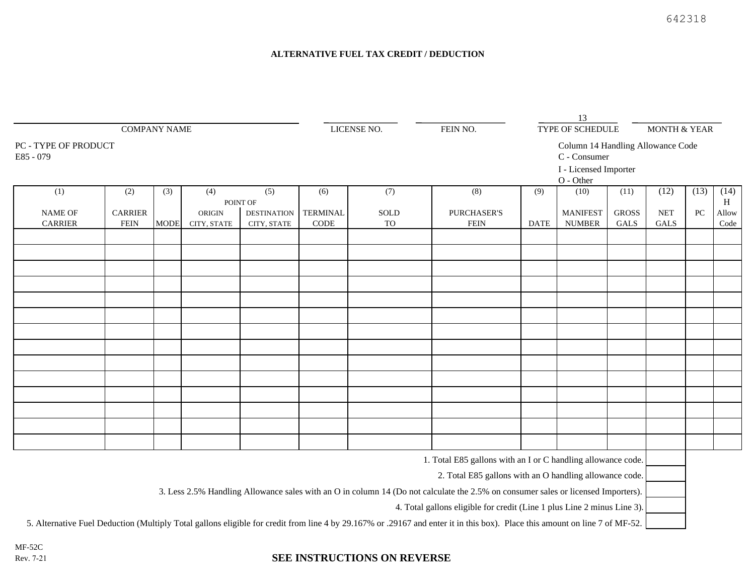## **ALTERNATIVE FUEL TAX CREDIT / DEDUCTION**

| <b>COMPANY NAME</b><br>PC - TYPE OF PRODUCT<br>E85 - 079 |                |             |             |                    |                 |      |                                                    | 13                                                |                       |              |                         |      |           |
|----------------------------------------------------------|----------------|-------------|-------------|--------------------|-----------------|------|----------------------------------------------------|---------------------------------------------------|-----------------------|--------------|-------------------------|------|-----------|
|                                                          |                |             |             |                    | LICENSE NO.     |      | FEIN NO.                                           | TYPE OF SCHEDULE                                  |                       |              | <b>MONTH &amp; YEAR</b> |      |           |
|                                                          |                |             |             |                    |                 |      |                                                    | Column 14 Handling Allowance Code<br>C - Consumer |                       |              |                         |      |           |
|                                                          |                |             |             |                    |                 |      |                                                    |                                                   | I - Licensed Importer |              |                         |      |           |
|                                                          |                |             |             |                    |                 |      |                                                    |                                                   | $O - Other$           |              |                         |      |           |
| (1)                                                      | (2)            | (3)         | (4)         | (5)<br>POINT OF    | (6)             | (7)  | (8)                                                | (9)                                               | (10)                  | (11)         | (12)                    | (13) | (14)<br>H |
| <b>NAME OF</b>                                           | <b>CARRIER</b> |             | ORIGIN      | <b>DESTINATION</b> | <b>TERMINAL</b> | SOLD | <b>PURCHASER'S</b>                                 |                                                   | <b>MANIFEST</b>       | <b>GROSS</b> | <b>NET</b>              | PC   | Allow     |
| <b>CARRIER</b>                                           | <b>FEIN</b>    | <b>MODE</b> | CITY, STATE | CITY, STATE        | $\rm{CODE}$     | TO   | ${\rm FEIN}$                                       | <b>DATE</b>                                       | <b>NUMBER</b>         | GALS         | GALS                    |      | Code      |
|                                                          |                |             |             |                    |                 |      |                                                    |                                                   |                       |              |                         |      |           |
|                                                          |                |             |             |                    |                 |      |                                                    |                                                   |                       |              |                         |      |           |
|                                                          |                |             |             |                    |                 |      |                                                    |                                                   |                       |              |                         |      |           |
|                                                          |                |             |             |                    |                 |      |                                                    |                                                   |                       |              |                         |      |           |
|                                                          |                |             |             |                    |                 |      |                                                    |                                                   |                       |              |                         |      |           |
|                                                          |                |             |             |                    |                 |      |                                                    |                                                   |                       |              |                         |      |           |
|                                                          |                |             |             |                    |                 |      |                                                    |                                                   |                       |              |                         |      |           |
|                                                          |                |             |             |                    |                 |      |                                                    |                                                   |                       |              |                         |      |           |
|                                                          |                |             |             |                    |                 |      |                                                    |                                                   |                       |              |                         |      |           |
|                                                          |                |             |             |                    |                 |      |                                                    |                                                   |                       |              |                         |      |           |
|                                                          |                |             |             |                    |                 |      |                                                    |                                                   |                       |              |                         |      |           |
|                                                          |                |             |             |                    |                 |      |                                                    |                                                   |                       |              |                         |      |           |
|                                                          |                |             |             |                    |                 |      |                                                    |                                                   |                       |              |                         |      |           |
|                                                          |                |             |             |                    |                 |      |                                                    |                                                   |                       |              |                         |      |           |
|                                                          |                |             |             |                    |                 |      |                                                    |                                                   |                       |              |                         |      |           |
|                                                          |                |             |             |                    |                 |      |                                                    |                                                   |                       |              |                         |      |           |
|                                                          |                |             |             |                    |                 |      |                                                    |                                                   |                       |              |                         |      |           |
|                                                          |                |             |             |                    |                 |      | $1.75 \times 1.7925 = 11$ $11.7 \times 11.71 = 11$ |                                                   |                       | $\mathbf{u}$ |                         |      |           |

1. Total E85 gallons with an I or C handling allowance code.

2. Total E85 gallons with an O handling allowance code.

3. Less 2.5% Handling Allowance sales with an O in column 14 (Do not calculate the 2.5% on consumer sales or licensed Importers).

4. Total gallons eligible for credit (Line 1 plus Line 2 minus Line 3).

5. Alternative Fuel Deduction (Multiply Total gallons eligible for credit from line 4 by 29.167% or .29167 and enter it in this box). Place this amount on line 7 of MF-52.

MF-52C Rev. 7-21

## **SEE INSTRUCTIONS ON REVERSE**